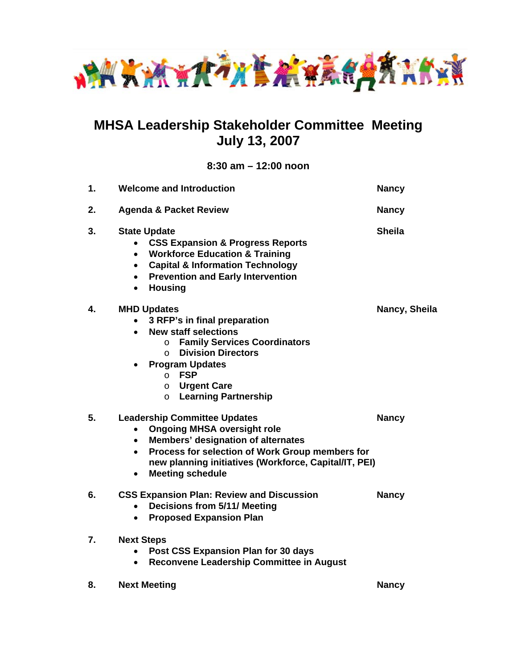

# **MHSA Leadership Stakeholder Committee Meeting July 13, 2007**

**8:30 am – 12:00 noon** 

| 1. | <b>Welcome and Introduction</b>                                                                                                                                                                                                                                                                                                                    | <b>Nancy</b>  |
|----|----------------------------------------------------------------------------------------------------------------------------------------------------------------------------------------------------------------------------------------------------------------------------------------------------------------------------------------------------|---------------|
| 2. | <b>Agenda &amp; Packet Review</b>                                                                                                                                                                                                                                                                                                                  | <b>Nancy</b>  |
| 3. | <b>State Update</b><br><b>CSS Expansion &amp; Progress Reports</b><br><b>Workforce Education &amp; Training</b><br>$\bullet$<br><b>Capital &amp; Information Technology</b><br>$\bullet$<br><b>Prevention and Early Intervention</b><br>$\bullet$<br><b>Housing</b><br>$\bullet$                                                                   | <b>Sheila</b> |
| 4. | <b>MHD Updates</b><br>3 RFP's in final preparation<br>$\bullet$<br><b>New staff selections</b><br>$\bullet$<br><b>Family Services Coordinators</b><br>$\circ$<br><b>Division Directors</b><br>$\Omega$<br><b>Program Updates</b><br>$\bullet$<br><b>FSP</b><br>$\Omega$<br><b>Urgent Care</b><br>$\circ$<br><b>Learning Partnership</b><br>$\circ$ | Nancy, Sheila |
| 5. | <b>Leadership Committee Updates</b><br><b>Ongoing MHSA oversight role</b><br>$\bullet$<br>Members' designation of alternates<br>$\bullet$<br>Process for selection of Work Group members for<br>$\bullet$<br>new planning initiatives (Workforce, Capital/IT, PEI)<br><b>Meeting schedule</b><br>$\bullet$                                         | <b>Nancy</b>  |
| 6. | <b>CSS Expansion Plan: Review and Discussion</b><br><b>Decisions from 5/11/ Meeting</b><br>$\bullet$<br><b>Proposed Expansion Plan</b><br>$\bullet$                                                                                                                                                                                                | <b>Nancy</b>  |
| 7. | <b>Next Steps</b><br>Post CSS Expansion Plan for 30 days<br>$\bullet$<br>Reconvene Leadership Committee in August<br>$\bullet$                                                                                                                                                                                                                     |               |
| 8. | <b>Next Meeting</b>                                                                                                                                                                                                                                                                                                                                | <b>Nancy</b>  |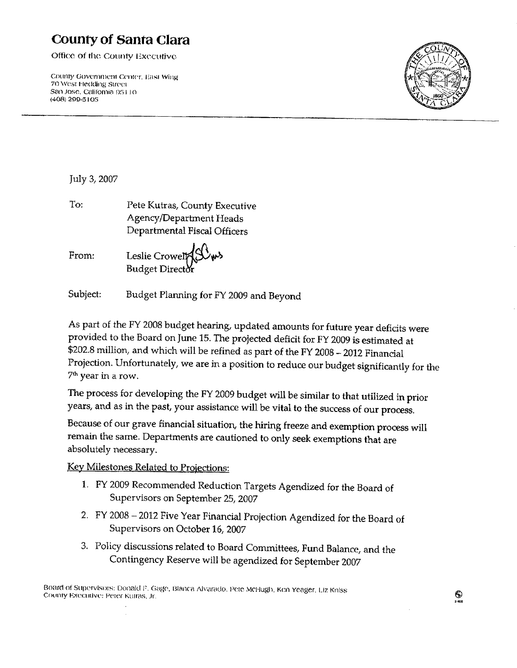# **County of Santa Clara**

Office of the County Executive

County Government Center, East Wing 70 West Hedding Street San Jose, California 95110 (408) 299-5105



July 3, 2007

To: Pete Kutras, County Executive Agency/Department Heads Departmental Fiscal Officers

From:

Leslie Crowel Budget Director

Subject: Budget Planning for FY 2009 and Beyond

As part of the FY 2008 budget hearing, updated amounts for future year deficits were provided to the Board on June 15. The projected deficit for FY 2009 is estimated at \$202.8 million, and which will be refined as part of the FY 2008 - 2012 Financial Projection. Unfortunately, we are in a position to reduce our budget significantly for the 7<sup>th</sup> year in a row.

The process for developing the FY 2009 budget will be similar to that utilized in prior years, and as in the past, your assistance will be vital to the success of our process.

Because of our grave financial situation, the hiring freeze and exemption process will remain the same. Departments are cautioned to only seek exemptions that are absolutely necessary.

Key Milestones Related to Projections:

- 1. FY 2009 Recommended Reduction Targets Agendized for the Board of Supervisors on September 25, 2007
- 2. FY 2008 2012 Five Year Financial Projection Agendized for the Board of Supervisors on October 16, 2007
- 3. Policy discussions related to Board Committees, Fund Balance, and the Contingency Reserve will be agendized for September 2007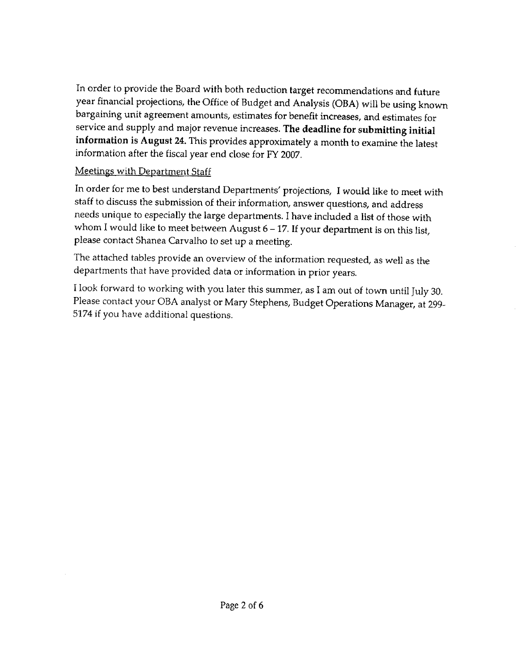In order to provide the Board with both reduction target recommendations and future year financial projections, the Office of Budget and Analysis (OBA) will be using known bargaining unit agreement amounts, estimates for benefit increases, and estimates for service and supply and major revenue increases. The deadline for submitting initial information is August 24. This provides approximately a month to examine the latest information after the fiscal year end close for FY 2007.

# **Meetings with Department Staff**

In order for me to best understand Departments' projections, I would like to meet with staff to discuss the submission of their information, answer questions, and address needs unique to especially the large departments. I have included a list of those with whom I would like to meet between August  $6 - 17$ . If your department is on this list, please contact Shanea Carvalho to set up a meeting.

The attached tables provide an overview of the information requested, as well as the departments that have provided data or information in prior years.

I look forward to working with you later this summer, as I am out of town until July 30. Please contact your OBA analyst or Mary Stephens, Budget Operations Manager, at 299-5174 if you have additional questions.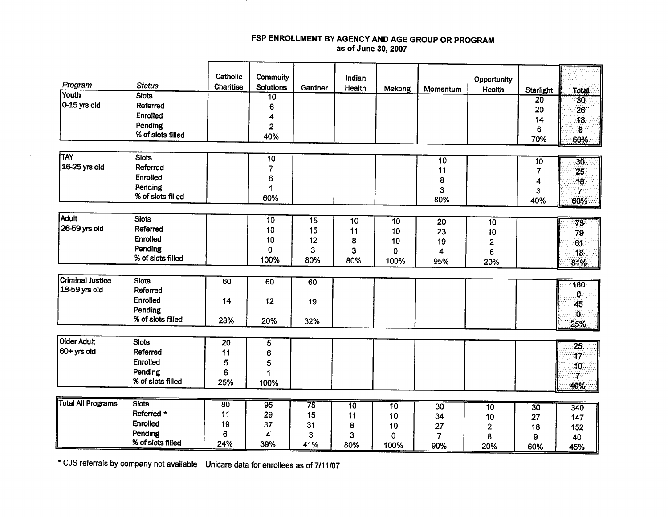#### FSP ENROLLMENT BY AGENCY AND AGE GROUP OR PROGRAM as of June 30, 2007

|                           |                              | Catholic         | <b>Commuity</b>         |                 | Indian   |        |                 | Opportunity |                  |                         |
|---------------------------|------------------------------|------------------|-------------------------|-----------------|----------|--------|-----------------|-------------|------------------|-------------------------|
| Program                   | <b>Status</b>                | <b>Charities</b> | <b>Solutions</b>        | Gardner         | Health   | Mekong | Momentum        | Health      | <b>Starlight</b> | Total                   |
| Youth<br>$0-15$ yrs old   | <b>Slots</b>                 |                  | $\overline{10}$         |                 |          |        |                 |             | 20               | 30 <sub>1</sub>         |
|                           | Referred                     |                  | 6                       |                 |          |        |                 |             | 20               | 26                      |
|                           | <b>Enrolled</b>              |                  | 4                       |                 |          |        |                 |             | 14               | 18                      |
|                           | Pending<br>% of slots filled |                  | $\overline{2}$          |                 |          |        |                 |             | 6                | $\overline{\mathbf{8}}$ |
|                           |                              |                  | 40%                     |                 |          |        |                 |             | 70%              | 60%                     |
| TAY                       | <b>Slots</b>                 |                  | 10                      |                 |          |        |                 |             |                  |                         |
| 16-25 yrs old             | Referred                     |                  | $\overline{7}$          |                 |          |        | 10<br>11        |             | 10               | 30 <sup>7</sup>         |
|                           | <b>Enrolled</b>              |                  | 6                       |                 |          |        |                 |             | 7                | 25                      |
|                           | Pending                      |                  | 1                       |                 |          |        | 8<br>3          |             | 4                | 18                      |
|                           | % of slots filled            |                  | 60%                     |                 |          |        | 80%             |             | 3<br>40%         | $\mathbf{7}$            |
|                           |                              |                  |                         |                 |          |        |                 |             |                  | 60%                     |
| <b>Adult</b>              | <b>Siots</b>                 |                  | 10                      | 15              | 10       | 10     | 20              | 10          |                  | $\overline{75}$         |
| 26-59 yrs old             | Referred                     |                  | 10                      | 15              | 11       | 10     | 23              | 10          |                  | 79.                     |
|                           | Enrolled                     |                  | 10                      | 12              | 8        | 10     | 19              | 2           |                  | 61                      |
|                           | Pending                      |                  | 0                       | 3               | 3        | 0      | 4               | 8           |                  | 18                      |
|                           | % of slots filled            |                  | 100%                    | 80%             | 80%      | 100%   | 95%             | 20%         |                  | 81%                     |
|                           |                              |                  |                         |                 |          |        |                 |             |                  |                         |
| <b>Criminal Justice</b>   | <b>Slots</b>                 | 60               | 60                      | 60              |          |        |                 |             |                  | 180                     |
| 18-59 yrs old             | Referred                     |                  |                         |                 |          |        |                 |             |                  | $\mathbf{0}$            |
|                           | Enrolled                     | 14               | 12                      | 19              |          |        |                 |             |                  | 45                      |
|                           | Pending                      |                  |                         |                 |          |        |                 |             |                  | $\mathbf{0}$            |
|                           | % of slots filled            | 23%              | 20%                     | 32%             |          |        |                 |             |                  | 25%                     |
|                           |                              |                  |                         |                 |          |        |                 |             |                  |                         |
| <b>Older Adult</b>        | <b>Slots</b>                 | 20               | 5                       |                 |          |        |                 |             |                  | $\overline{25}$         |
| $ 60+$ yrs old            | Referred                     | 11               | 6                       |                 |          |        |                 |             |                  | 17                      |
|                           | Enrolled                     | 5                | 5                       |                 |          |        |                 |             |                  | 10                      |
|                           | Pending                      | 6                | 1                       |                 |          |        |                 |             |                  | 7.                      |
|                           | % of slots filled            | 25%              | 100%                    |                 |          |        |                 |             |                  | 40%                     |
| <b>Total All Programs</b> | <b>Slots</b>                 | 80               |                         |                 |          |        |                 |             |                  |                         |
|                           | Referred *                   | 11               | 95<br>29                | $\overline{75}$ | 10       | 10     | $\overline{30}$ | 10          | 30               | 340                     |
|                           | Enrolled                     | 19               | 37                      | 15              | 11       | 10     | 34              | 10          | 27               | 147                     |
|                           | Pending                      | 6                | $\overline{\mathbf{4}}$ | 31              | 8        | 10     | 27              | 2           | 18               | 152                     |
|                           | % of slots filled            | 24%              | 39%                     | 3<br>41%        | 3<br>80% | 0      | 7               | 8           | 9                | 40                      |
|                           |                              |                  |                         |                 |          | 100%   | 90%             | 20%         | 60%              | 45%                     |

\* CJS referrals by company not available Unicare data for enrollees as of 7/11/07

 $\mathbf{r}$ 

 $\bullet$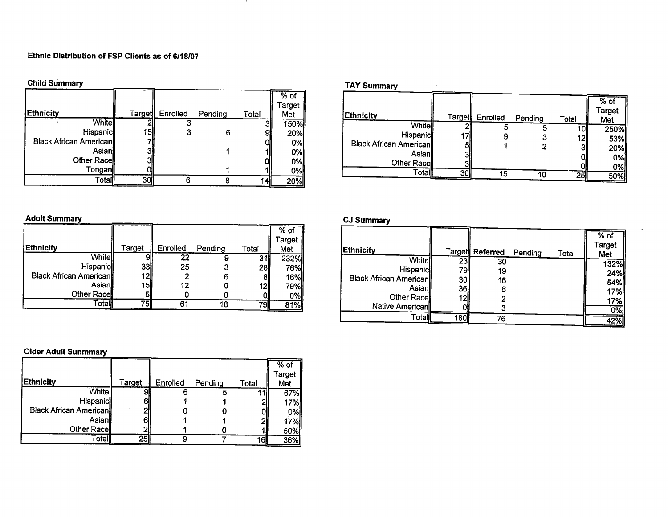#### Ethnic Distribution of FSP Clients as of 6/18/07

**Child Summary** 

| <b>Child Summary</b>          |               |          |         |       |                         |
|-------------------------------|---------------|----------|---------|-------|-------------------------|
| Ethnicity                     | <b>Target</b> | Enrolled | Pending | Total | $%$ of<br>Target<br>Met |
| <b>White</b>                  |               |          |         |       | 150%                    |
| Hispanic                      | 151           |          | 6       | 9     | 20%                     |
| <b>Black African American</b> |               |          |         |       | 0%                      |
| Asianl                        |               |          |         |       | 0%                      |
| Other Race                    |               |          |         |       | 0%                      |
| Tonganl                       |               |          |         |       | 0%                      |
| Totall                        | 30            |          |         | 14    | 20%                     |

#### **TAY Summary**

| <b>Ethnicity</b>              | Target∥ | Enrolled | Pending | Total | $%$ of<br><b>Target</b><br>Met |
|-------------------------------|---------|----------|---------|-------|--------------------------------|
| White                         |         |          |         |       | 250%                           |
| Hispanic                      | 17      |          |         | 12    | 53%                            |
| <b>Black African American</b> |         |          |         |       | 20%                            |
| Asianll                       | 31      |          |         |       | 0%                             |
| Other Race                    |         |          |         |       | 0%                             |
| Totall                        | 30      | 15       | 10      | 25    | 50%                            |

 $\sim$ 

#### **Adult Summary**

|                               |                 |          |         |           | $%$ of     |
|-------------------------------|-----------------|----------|---------|-----------|------------|
|                               |                 |          |         |           | Target     |
| <b>Ethnicity</b>              | Target          | Enrolled | Pending | Total     | Met        |
| <b>White</b>                  |                 | 22       |         | 31        | 232%       |
| <b>Hispanic</b>               | 33              | 25       | J       | 281       | 76%        |
| <b>Black African American</b> | 12 <sub>1</sub> |          | 6       |           | <b>16%</b> |
| Asianl                        | 15              | 12       |         | 12l       | 79%        |
| Other Race                    |                 |          |         |           | 0%         |
| Γotall                        |                 | 61       | 18      | <b>79</b> | 81%        |

#### **CJ Summary**

| <b>Ethnicity</b>              |     | Target Referred | Pending | Total | $%$ of<br>Target<br>Met |
|-------------------------------|-----|-----------------|---------|-------|-------------------------|
| <b>White</b>                  | 23  | 30              |         |       | 132%                    |
| <b>Hispanic</b>               | 79I | 19              |         |       | 24%                     |
| <b>Black African American</b> | 30  | 16              |         |       | 54%                     |
| Asian                         | 36  |                 |         |       | 17%                     |
| Other Race                    | 12  |                 |         |       | 17%                     |
| Native American               |     |                 |         |       | 0%                      |
| Totall                        | 180 | 76              |         |       | 42%                     |

#### **Older Adult Sunmmary**

| <b>Ethnicity</b>              | Target | Enrolled | Pending | Total | $%$ of<br>Target<br>Met |
|-------------------------------|--------|----------|---------|-------|-------------------------|
| <b>Whitel</b>                 |        |          |         |       | 67%                     |
| Hispanic                      | 6      |          |         | 21    | 17%                     |
| <b>Black African American</b> |        |          |         | Ol    | 0%l                     |
| Asian∥                        | 61     |          |         | 21    | 17%                     |
| Other Race                    |        |          |         |       | 50%                     |
| Totall                        | 25     |          |         | 16    | 36%                     |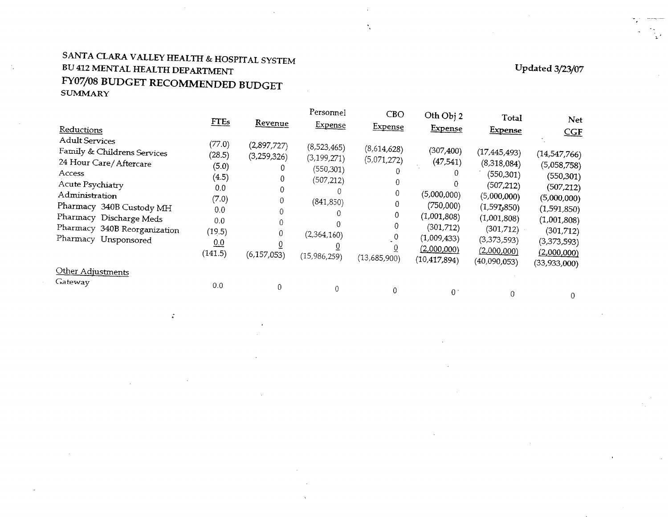# SANTA CLARA VALLEY HEALTH & HOSPITAL SYSTEM BU 412 MENTAL HEALTH DEPARTMENT FY07/08 BUDGET RECOMMENDED BUDGET **SUMMARY**

 $\ddot{\phantom{a}}$ 

Updated  $3/23/07$ 

ूर

| Reductions                                                                                                                                                                                                                                    | <b>FTEs</b>                                                                                  | <u>Revenue</u>                              | rersonnel<br><u>Expense</u>                                                                           | <b>CBO</b><br><u>Expense</u>                              | Oth Obj 2<br>Expense                                                                                                             | <b>Total</b><br><b>Expense</b>                                                                                                                                          | <b>Net</b><br>CGF                                                                                                                                 |
|-----------------------------------------------------------------------------------------------------------------------------------------------------------------------------------------------------------------------------------------------|----------------------------------------------------------------------------------------------|---------------------------------------------|-------------------------------------------------------------------------------------------------------|-----------------------------------------------------------|----------------------------------------------------------------------------------------------------------------------------------|-------------------------------------------------------------------------------------------------------------------------------------------------------------------------|---------------------------------------------------------------------------------------------------------------------------------------------------|
| <b>Adult Services</b><br>Family & Childrens Services<br>24 Hour Care/Aftercare<br>Access<br>Acute Psychiatry<br>Administration<br>Pharmacy 340B Custody MH<br>Pharmacy Discharge Meds<br>Pharmacy 340B Reorganization<br>Pharmacy Unsponsored | (77.0)<br>(28.5)<br>(5.0)<br>(4.5)<br>0.0<br>(7.0)<br>0.0<br>0.0<br>(19.5)<br>0.0<br>(141.5) | (2,897,727)<br>(3,259,326)<br>(6, 157, 053) | (8,523,465)<br>(3, 199, 271)<br>(550, 301)<br>(507, 212)<br>(841, 850)<br>(2,364,160)<br>(15,986,259) | (8,614,628)<br>(5,071,272)<br>0<br>0<br>0<br>(13,685,900) | (307, 400)<br>(47, 541)<br>(5,000,000)<br>(750,000)<br>(1,001,808)<br>(301, 712)<br>(1,009,433)<br>(2,000,000)<br>(10, 417, 894) | (17, 445, 493)<br>(8,318,084)<br>(550, 301)<br>(507,212)<br>(5,000,000)<br>$(1,59$ <b>T</b> <sub>3</sub> 850)<br>(1,001,808)<br>(301,712)<br>(3,373,593)<br>(2,000,000) | (14, 547, 766)<br>(5,058,758)<br>(550, 301)<br>(507,212)<br>(5,000,000)<br>(1,591,850)<br>(1,001,808)<br>(301, 712)<br>(3,373,593)<br>(2,000,000) |
| Other Adjustments<br>Gateway                                                                                                                                                                                                                  | 0.0                                                                                          |                                             |                                                                                                       |                                                           | 0                                                                                                                                | (40,090,053)                                                                                                                                                            | (33,933,000)<br>0                                                                                                                                 |

 $\mathbf{v}_i$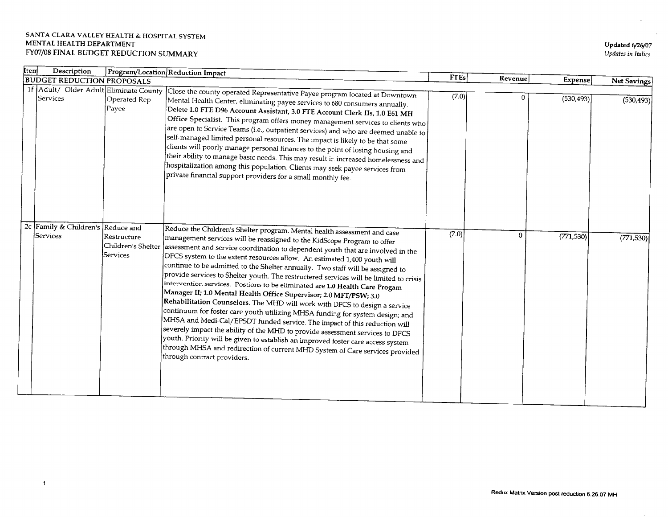| Updated 6/26/07    |
|--------------------|
| Updates in Italics |

| Item     | Description                       |                                                                 | Program/Location Reduction Impact                                                                                                                                                                                                                                                                                                                                                                                                                                                                                                                                                                                                                                                                                                                                                                                                                                                                                                                                                                                                                                                                                                                                                                                                                         |             |              |                |             |
|----------|-----------------------------------|-----------------------------------------------------------------|-----------------------------------------------------------------------------------------------------------------------------------------------------------------------------------------------------------------------------------------------------------------------------------------------------------------------------------------------------------------------------------------------------------------------------------------------------------------------------------------------------------------------------------------------------------------------------------------------------------------------------------------------------------------------------------------------------------------------------------------------------------------------------------------------------------------------------------------------------------------------------------------------------------------------------------------------------------------------------------------------------------------------------------------------------------------------------------------------------------------------------------------------------------------------------------------------------------------------------------------------------------|-------------|--------------|----------------|-------------|
|          |                                   | <b>BUDGET REDUCTION PROPOSALS</b>                               |                                                                                                                                                                                                                                                                                                                                                                                                                                                                                                                                                                                                                                                                                                                                                                                                                                                                                                                                                                                                                                                                                                                                                                                                                                                           | <b>FTEs</b> | Revenue      | <b>Expense</b> | Net Savings |
| Services |                                   | 1f Adult/ Older Adult Eliminate County<br>Operated Rep<br>Payee | Close the county operated Representative Payee program located at $\overline{{\rm Downdown}}$<br>Mental Health Center, eliminating payee services to 680 consumers annually.<br>Delete 1.0 FTE D96 Account Assistant, 3.0 FTE Account Clerk IIs, 1.0 E61 MH<br>$\left  \text{Office Specialist. This program offers money management services to clients who} \right $<br>are open to Service Teams (i.e., outpatient services) and who are deemed unable to<br>self-managed limited personal resources. The impact is likely to be that some<br>clients will poorly manage personal finances to the point of losing housing and<br>their ability to manage basic needs. This may result in increased homelessness and $\vert$<br>hospitalization among this population. Clients may seek payee services from<br>$ $ private financial support providers for a small monthly fee.                                                                                                                                                                                                                                                                                                                                                                         | (7.0)       | 0            | (530, 493)     | (530, 493)  |
| Services | 2c Family & Children's Reduce and | Restructure<br>Services                                         | Reduce the Children's Shelter program. Mental health assessment and case<br>management services will be reassigned to the KidScope Program to offer<br>$ \mathsf{Children} $ 's Shelter $ \mathsf{assessment}\text{ and service coordination}$ to dependent youth that are involved in the<br>DFCS system to the extent resources allow. An estimated 1,400 youth will<br>continue to be admitted to the Shelter annually. Two staff will be assigned to<br>provide services to Shelter youth. The restructered services will be limited to crisis<br>intervention services. Postions to be eliminated are $1.0$ Health Care Progam $\,$<br>Manager II; 1.0 Mental Health Office Supervisor; 2.0 MFT/PSW; 3.0 $\,$<br>$ \! $ Rehabilitation Counselors. The MHD will work with DFCS to design a service<br>continuum for foster care youth utilizing MHSA funding for system design; and<br>MHSA and Medi-Cal/EPSDT funded service. The impact of this reduction will<br>severely impact the ability of the MHD to provide assessment services to DFCS<br>youth. Priority will be given to establish an improved foster care access system<br>through MHSA and redirection of current MHD System of Care services provided<br>through contract providers. | (7.0)       | $\mathbf{0}$ | (771, 530)     | (771, 530)  |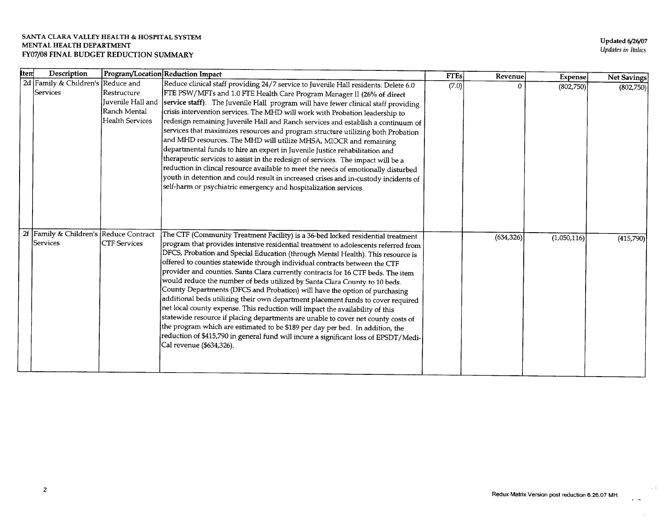**Updated 6/26/07** Updates in Italics

| <b>Item</b> | Description                            |                        | Program/Location Reduction Impact                                                                                                                       | <b>FTEs</b> | Revenue    | Expense     | Net Savings |
|-------------|----------------------------------------|------------------------|---------------------------------------------------------------------------------------------------------------------------------------------------------|-------------|------------|-------------|-------------|
|             | 2d Family & Children's Reduce and      |                        | Reduce clinical staff providing 24/7 service to Juvenile Hall residents. Delete 6.0                                                                     | (7.0)       |            | (802,750)   | (802,750)   |
|             | Services                               | Restructure            | FTE PSW/MFTs and 1.0 FTE Health Care Program Manager II (26% of direct                                                                                  |             |            |             |             |
|             |                                        | Juvenile Hall and      | service staff). The Juvenile Hall program will have fewer clinical staff providing                                                                      |             |            |             |             |
|             |                                        | Ranch Mental           | crisis intervention services. The MHD will work with Probation leadership to                                                                            |             |            |             |             |
|             |                                        | <b>Health Services</b> | redesign remaining Juvenile Hall and Ranch services and establish a continuum of                                                                        |             |            |             |             |
|             |                                        |                        | services that maximizes resources and program structure utilizing both Probation                                                                        |             |            |             |             |
|             |                                        |                        | and MHD resources. The MHD will utilize MHSA, MIOCR and remaining                                                                                       |             |            |             |             |
|             |                                        |                        | $ \rm{department}$ funds to hire an expert in Juvenile Justice rehabilitation and                                                                       |             |            |             |             |
|             |                                        |                        | therapeutic services to assist in the redesign of services. The impact will be a                                                                        |             |            |             |             |
|             |                                        |                        | reduction in clincal resource available to meet the needs of emotionally disturbed                                                                      |             |            |             |             |
|             |                                        |                        | youth in detention and could result in increased crises and in-custody incidents of<br>self-harm or psychiatric emergency and hospitalization services. |             |            |             |             |
|             |                                        |                        |                                                                                                                                                         |             |            |             |             |
|             |                                        |                        |                                                                                                                                                         |             |            |             |             |
|             |                                        |                        |                                                                                                                                                         |             |            |             |             |
|             |                                        |                        |                                                                                                                                                         |             |            |             |             |
|             | 2f Family & Children's Reduce Contract |                        | The CTF (Community Treatment Facility) is a 36-bed locked residential treatment                                                                         |             | (634, 326) |             |             |
|             | Services                               | <b>CTF</b> Services    | program that provides intensive residential treatment to adolescents referred from                                                                      |             |            | (1,050,116) | (415,790)   |
|             |                                        |                        | DFCS, Probation and Special Education (through Mental Health). This resource is                                                                         |             |            |             |             |
|             |                                        |                        | offered to counties statewide through individual contracts between the CTF                                                                              |             |            |             |             |
|             |                                        |                        | provider and counties. Santa Clara currently contracts for 16 CTF beds. The item                                                                        |             |            |             |             |
|             |                                        |                        | would reduce the number of beds utilized by Santa Clara County to 10 beds.                                                                              |             |            |             |             |
|             |                                        |                        | County Departments (DFCS and Probation) will have the option of purchasing                                                                              |             |            |             |             |
|             |                                        |                        | additional beds utilizing their own department placement funds to cover required                                                                        |             |            |             |             |
|             |                                        |                        | net local county expense. This reduction will impact the availability of this                                                                           |             |            |             |             |
|             |                                        |                        | statewide resource if placing departments are unable to cover net county costs of                                                                       |             |            |             |             |
|             |                                        |                        | the program which are estimated to be \$189 per day per bed. In addition, the                                                                           |             |            |             |             |
|             |                                        |                        | reduction of \$415,790 in general fund will incure a significant loss of EPSDT/Medi-                                                                    |             |            |             |             |
|             |                                        |                        | Cal revenue (\$634,326).                                                                                                                                |             |            |             |             |
|             |                                        |                        |                                                                                                                                                         |             |            |             |             |
|             |                                        |                        |                                                                                                                                                         |             |            |             |             |

 $\sim 5\%$ 

 $\ddot{\phantom{0}}$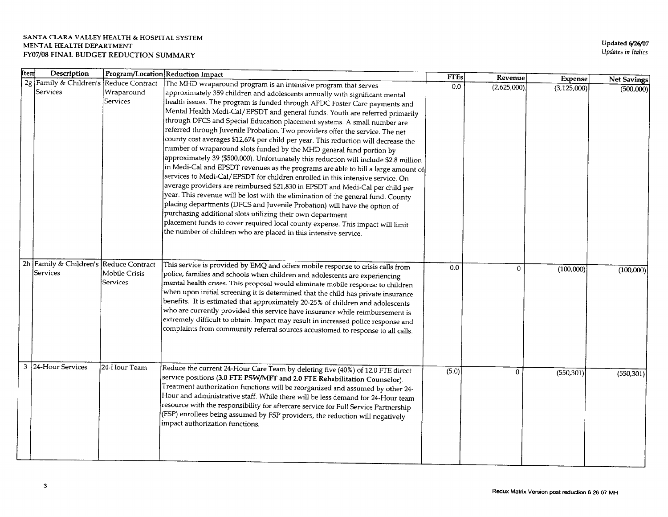| ktem | Description                            |               | Program/Location Reduction Impact                                                         | <b>FTEs</b> | Revenuel     | <b>Expense</b> | Net Savings |
|------|----------------------------------------|---------------|-------------------------------------------------------------------------------------------|-------------|--------------|----------------|-------------|
|      | 2g Family & Children's Reduce Contract |               | The MHD wraparound program is an intensive program that serves                            | 0.0         | (2,625,000)  | (3, 125, 000)  | (500,000)   |
|      | Services                               | Wraparound    | approximately 359 children and adolescents annually with significant mental               |             |              |                |             |
|      |                                        | Services      | health issues. The program is funded through AFDC Foster Care payments and                |             |              |                |             |
|      |                                        |               | Mental Health Medi-Cal/EPSDT and general funds. Youth are referred primarily              |             |              |                |             |
|      |                                        |               | through DFCS and Special Education placement systems. A small number are                  |             |              |                |             |
|      |                                        |               | referred through Juvenile Probation. Two providers offer the service. The net             |             |              |                |             |
|      |                                        |               | county cost averages \$12,674 per child per year. This reduction will decrease the        |             |              |                |             |
|      |                                        |               | number of wraparound slots funded by the MHD general fund portion by                      |             |              |                |             |
|      |                                        |               | approximately 39 (\$500,000). Unfortunately this reduction will include \$2.8 million     |             |              |                |             |
|      |                                        |               | in Medi-Cal and EPSDT revenues as the programs are able to bill a large amount of         |             |              |                |             |
|      |                                        |               | services to Medi-Cal/EPSDT for children enrolled in this intensive service. On            |             |              |                |             |
|      |                                        |               | average providers are reimbursed \$21,830 in EPSDT and Medi-Cal per child per             |             |              |                |             |
|      |                                        |               | year. This revenue will be lost with the elimination of the general fund. County          |             |              |                |             |
|      |                                        |               | placing departments (DFCS and Juvenile Probation) will have the option of                 |             |              |                |             |
|      |                                        |               | purchasing additional slots utilizing their own department                                |             |              |                |             |
|      |                                        |               | placement funds to cover required local county expense. This impact will limit            |             |              |                |             |
|      |                                        |               | the number of children who are placed in this intensive service.                          |             |              |                |             |
|      |                                        |               |                                                                                           |             |              |                |             |
|      |                                        |               |                                                                                           |             |              |                |             |
|      | 2h Family & Children's Reduce Contract |               | This service is provided by EMQ and offers mobile response to crisis calls from           | 0.0         | $\mathbf{0}$ |                |             |
|      | Services                               | Mobile Crisis | $ {\rm{policy, families}}$ and schools when children and adolescents are experiencing     |             |              | (100,000)      | (100,000)   |
|      |                                        | Services      | $\left $ mental health crises. This proposal would eliminate mobile response to children  |             |              |                |             |
|      |                                        |               | when upon initial screening it is determined that the child has private insurance $\vert$ |             |              |                |             |
|      |                                        |               | benefits. It is estimated that approximately 20-25% of children and adolescents           |             |              |                |             |
|      |                                        |               | who are currently provided this service have insurance while reimbursement is             |             |              |                |             |
|      |                                        |               | extremely difficult to obtain. Impact may result in increased police response and         |             |              |                |             |
|      |                                        |               | complaints from community referral sources accustomed to response to all calls.           |             |              |                |             |
|      |                                        |               |                                                                                           |             |              |                |             |
|      |                                        |               |                                                                                           |             |              |                |             |
|      |                                        |               |                                                                                           |             |              |                |             |
| 3    | 24-Hour Services                       | 24-Hour Team  | Reduce the current 24-Hour Care Team by deleting five (40%) of 12.0 FTE direct            | (5.0)       | 0            | (550, 301)     |             |
|      |                                        |               | service positions (3.0 FTE PSW/MFT and 2.0 FTE Rehabilitation Counselor).                 |             |              |                | (550, 301)  |
|      |                                        |               | Treatment authorization functions will be reorganized and assumed by other 24-            |             |              |                |             |
|      |                                        |               | Hour and administrative staff. While there will be less demand for 24-Hour team           |             |              |                |             |
|      |                                        |               | resource with the responsibility for aftercare service for Full Service Partnership       |             |              |                |             |
|      |                                        |               | (FSP) enrollees being assumed by FSP providers, the reduction will negatively             |             |              |                |             |
|      |                                        |               | impact authorization functions.                                                           |             |              |                |             |
|      |                                        |               |                                                                                           |             |              |                |             |
|      |                                        |               |                                                                                           |             |              |                |             |
|      |                                        |               |                                                                                           |             |              |                |             |
|      |                                        |               |                                                                                           |             |              |                |             |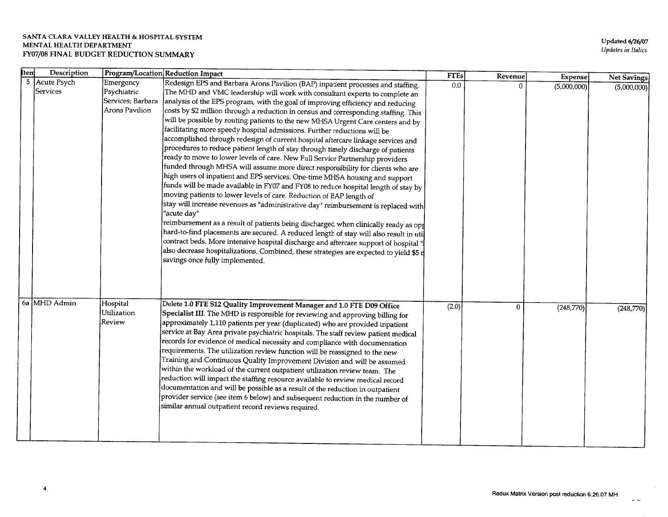| <b>Item</b> | Description               |                                                                 | Program/Location Reduction Impact                                                                                                                                                                                                                                                                                                                                                                                                                                                                                                                                                                                                                                                                                                                                                                                                                                                                                                                                                                                                                                                                                                                                                                                                                                                                                                                                                                                                                                                                                                                                                                                            | <b>FTEs</b> | Revenue | Expense     | Net Savings |
|-------------|---------------------------|-----------------------------------------------------------------|------------------------------------------------------------------------------------------------------------------------------------------------------------------------------------------------------------------------------------------------------------------------------------------------------------------------------------------------------------------------------------------------------------------------------------------------------------------------------------------------------------------------------------------------------------------------------------------------------------------------------------------------------------------------------------------------------------------------------------------------------------------------------------------------------------------------------------------------------------------------------------------------------------------------------------------------------------------------------------------------------------------------------------------------------------------------------------------------------------------------------------------------------------------------------------------------------------------------------------------------------------------------------------------------------------------------------------------------------------------------------------------------------------------------------------------------------------------------------------------------------------------------------------------------------------------------------------------------------------------------------|-------------|---------|-------------|-------------|
|             | 5 Acute Psych<br>Services | Emergency<br>Psychiatric<br>Services; Barbara<br>Arons Pavilion | Redesign EPS and Barbara Arons Pavilion (BAP) inpatient processes and staffing.<br>The MHD and VMC leadership will work with consultant experts to complete an<br>analysis of the EPS program, with the goal of improving efficiency and reducing<br>costs by \$2 million through a reduction in census and corresponding staffing. This<br>will be possible by routing patients to the new MHSA Urgent Care centers and by<br>$ \mathit{facilitating}$ more speedy hospital admissions. Further reductions will be<br>accomplished through redesign of current hospital aftercare linkage services and<br>procedures to reduce patient length of stay through timely discharge of patients<br>ready to move to lower levels of care. New Full Service Partnership providers<br>funded through MHSA will assume more direct responsibility for clients who are<br>high users of inpatient and EPS services. One-time MHSA housing and support<br>funds will be made available in FY07 and FY08 to reduce hospital length of stay by<br>moving patients to lower levels of care. Reduction of BAP length of<br>stay will increase revenues as "administrative day" reimbursement is replaced with<br>"acute day"<br>reimbursement as a result of patients being discharged when clinically ready as op $\sharp$<br>hard-to-find placements are secured. A reduced length of stay will also result in uti<br>contract beds. More intensive hospital discharge and aftercare support of hospital "<br>also decrease hospitalizations. Combined, these strategies are expected to yield \$5 r<br>savings once fully implemented. | 0.0         | 0       | (5,000,000) | (5,000,000) |
|             | 6a MHD Admin              | Hospital<br>Utilization<br>Review                               | Delete 1.0 FTE S12 Quality Improvement Manager and 1.0 FTE D09 Office<br>Specialist III. The MHD is responsible for reviewing and approving billing for<br>approximately 1,110 patients per year (duplicated) who are provided inpatient<br>service at Bay Area private psychiatric hospitals. The staff review patient medical<br>records for evidence of medical necessity and compliance with documentation<br>requirements. The utilization review function will be reassigned to the new<br>Training and Continuous Quality Improvement Division and will be assumed<br>within the workload of the current outpatient utilization review team. The<br>reduction will impact the staffing resource available to review medical record<br>documentation and will be possible as a result of the reduction in outpatient<br>provider service (see item 6 below) and subsequent reduction in the number of<br>similar annual outpatient record reviews required.                                                                                                                                                                                                                                                                                                                                                                                                                                                                                                                                                                                                                                                            | (2.0)       | 0       | (248,770)   | (248,770)   |

 $\ddot{\phantom{0}}$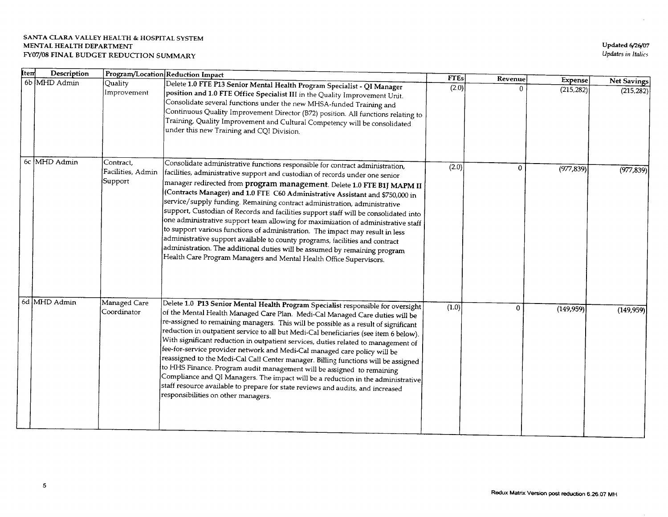| ltem | Description  |                                           | Program/Location Reduction Impact                                                                                                                                                                                                                                                                                                                                                                                                                                                                                                                                                                                                                                                                                                                                                                                                                                                                                           | <b>FTEs</b> | Revenue      |                       |                           |
|------|--------------|-------------------------------------------|-----------------------------------------------------------------------------------------------------------------------------------------------------------------------------------------------------------------------------------------------------------------------------------------------------------------------------------------------------------------------------------------------------------------------------------------------------------------------------------------------------------------------------------------------------------------------------------------------------------------------------------------------------------------------------------------------------------------------------------------------------------------------------------------------------------------------------------------------------------------------------------------------------------------------------|-------------|--------------|-----------------------|---------------------------|
|      | 6b MHD Admin | Quality<br>Improvement                    | Delete 1.0 FTE P13 Senior Mental Health Program Specialist - QI Manager<br>position and 1.0 FTE Office Specialist III in the Quality Improvement Unit.<br>Consolidate several functions under the new MHSA-funded Training and<br>Continuous Quality Improvement Director (B72) position. All functions relating to<br>Training, Quality Improvement and Cultural Competency will be consolidated<br>under this new Training and CQI Division.                                                                                                                                                                                                                                                                                                                                                                                                                                                                              | (2.0)       | 0            | Expense<br>(215, 282) | Net Savings<br>(215, 282) |
|      | 6c MHD Admin | Contract,<br>Facilities, Admin<br>Support | Consolidate administrative functions responsible for contract administration,<br>$ \mathsf{facilities},$ administrative support and custodian of records under one senior<br>manager redirected from <b>program management</b> . Delete 1.0 FTE B1J MAPM II<br>(Contracts Manager) and 1.0 FTE C60 Administrative Assistant and \$750,000 in<br>service/supply funding. Remaining contract administration, administrative<br>support, Custodian of Records and facilities support staff will be consolidated into<br>one administrative support team allowing for maximization of administrative staff<br>to support various functions of administration. The impact may result in less<br>administrative support available to county programs, facilities and contract<br>administration. The additional duties will be assumed by remaining program<br>Health Care Program Managers and Mental Health Office Supervisors. | (2.0)       | 0            | (977, 839)            | (977, 839)                |
| 6d   | MHD Admin    | Managed Care<br>Coordinator               | Delete 1.0 P13 Senior Mental Health Program Specialist responsible for oversight<br>of the Mental Health Managed Care Plan. Medi-Cal Managed Care duties will be<br>re-assigned to remaining managers. This will be possible as a result of significant<br>reduction in outpatient service to all but Medi-Cal beneficiaries (see item 6 below).<br>With significant reduction in outpatient services, duties related to management of<br>fee-for-service provider network and Medi-Cal managed care policy will be<br>reassigned to the Medi-Cal Call Center manager. Billing functions will be assigned<br>to HHS Finance. Program audit management will be assigned to remaining<br>Compliance and QI Managers. The impact will be a reduction in the administrative $\big\vert$<br>staff resource available to prepare for state reviews and audits, and increased<br>responsibilities on other managers.               | (1.0)       | $\mathbf{0}$ | (149, 959)            | (149, 959)                |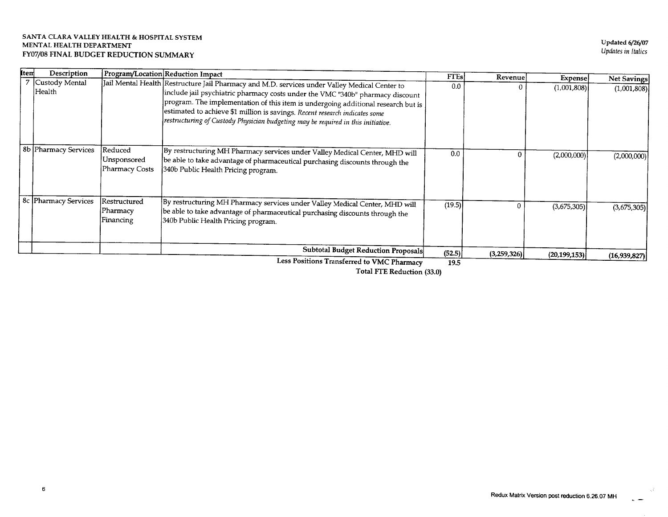| Item | Description                 |                                                 | Program/Location Reduction Impact                                                                                                                                                                                                                                                                                                                                                                                                       | <b>FTEs</b> | Revenue <sup>®</sup> |                               |                            |
|------|-----------------------------|-------------------------------------------------|-----------------------------------------------------------------------------------------------------------------------------------------------------------------------------------------------------------------------------------------------------------------------------------------------------------------------------------------------------------------------------------------------------------------------------------------|-------------|----------------------|-------------------------------|----------------------------|
|      | 7 Custody Mental<br> Health |                                                 | Jail Mental Health Restructure Jail Pharmacy and M.D. services under Valley Medical Center to<br>include jail psychiatric pharmacy costs under the VMC "340b" pharmacy discount<br>program. The implementation of this item is undergoing additional research but is<br>estimated to achieve \$1 million is savings. Recent research indicates some<br>restructuring of Custody Physician budgeting may be required in this initiative. | 0.0         |                      | <b>Expense</b><br>(1,001,808) | Net Savings<br>(1,001,808) |
|      | 8b Pharmacy Services        | Reduced<br>Unsponsored<br><b>Pharmacy Costs</b> | By restructuring MH Pharmacy services under Valley Medical Center, MHD will<br>be able to take advantage of pharmaceutical purchasing discounts through the<br>340b Public Health Pricing program.                                                                                                                                                                                                                                      | 0.0         |                      | (2,000,000)                   | (2,000,000)                |
|      | 8c Pharmacy Services        | Restructured<br>Pharmacy<br>Financing           | By restructuring MH Pharmacy services under Valley Medical Center, MHD will<br>be able to take advantage of pharmaceutical purchasing discounts through the<br>340b Public Health Pricing program.                                                                                                                                                                                                                                      | (19.5)      |                      | (3,675,305)                   | (3,675,305)                |
|      |                             |                                                 | <b>Subtotal Budget Reduction Proposals</b>                                                                                                                                                                                                                                                                                                                                                                                              | (52.5)      | (3,259,326)          | (20, 199, 153)                | (16,939,827)               |
|      |                             |                                                 | Less Positions Transferred to VMC Pharmacy                                                                                                                                                                                                                                                                                                                                                                                              | 19.5        |                      |                               |                            |

Total FTE Reduction (33.0)

χÈ.

 $\overline{a}$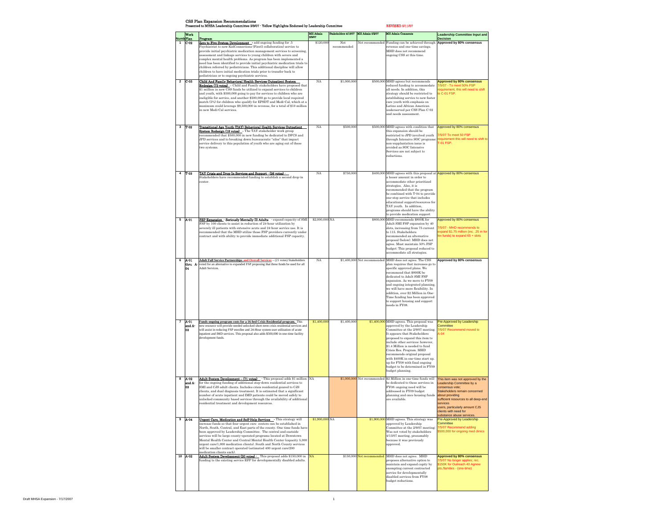CSS Plan Expansion Recommendations

Presented to MHSA Leadership Committee 2/9/07 - Yellow Highlights Endorsed by Leadership Committee REVISED 5/11/07

| Numb Plan            | <b>Work</b>            | Program                                                                                                                                                                                                                                                                                                                                                                                                                                                                                                                                                                                                                                             | <b>MH</b> Admin<br>2/9/07 | Stakeholders 4/13/07 | MH Admin 5/2/07              | <b>MH Admin Comments</b>                                                                                                                                                                                                                                                                                                                                                                                                                         | <b>Leadership Committee Input and</b><br><b>Decision</b>                                                                                                                                                                                             |
|----------------------|------------------------|-----------------------------------------------------------------------------------------------------------------------------------------------------------------------------------------------------------------------------------------------------------------------------------------------------------------------------------------------------------------------------------------------------------------------------------------------------------------------------------------------------------------------------------------------------------------------------------------------------------------------------------------------------|---------------------------|----------------------|------------------------------|--------------------------------------------------------------------------------------------------------------------------------------------------------------------------------------------------------------------------------------------------------------------------------------------------------------------------------------------------------------------------------------------------------------------------------------------------|------------------------------------------------------------------------------------------------------------------------------------------------------------------------------------------------------------------------------------------------------|
| $\blacktriangleleft$ | $ C-02 $               | Zero to Five System Development - add ongoing funding for .5<br>Psychiatrist to new KidConnections (First5 collaboration) service to<br>provide initial psychiatric medication management services to screening,<br>assessment and linkage services to young children with severe and<br>complex mental health problems. As program has been implemented a<br>need has been identified to provide initial psychiatric medication trials to<br>children referred by pediatricians. This additional discipline will allow<br>children to have initial medication trials prior to transfer back to<br>pediatrician or to ongoing psychiatric services. | \$120,000                 | Not<br>recommended   |                              | Not recommended Funding can be achieved through Approved by 80% consensus<br>revenue and one-time savings.<br>MHD does not recommend<br>ongoing CSS at this time.                                                                                                                                                                                                                                                                                |                                                                                                                                                                                                                                                      |
|                      | $2 \mid C-03$          | Child And Family Behavioral Health Services Outpatient System<br>Redesign (73 votes) - Child and Family stakeholders have proposed that<br>\$1 million in new CSS funds be utilized to expand services to children<br>and youth, with \$500,000 going to pay for services to children who are<br>ineligible for service, and another \$500,000 go to provide local required<br>match (5%) for children who qualify for EPSDT and Medi-Cal, which at a<br>maximum could leverage \$9,500,000 in revenue, for a total of \$10 million<br>in new Medi-Cal services.                                                                                    | NA                        | \$1,000,000          |                              | \$500,000 MHD agrees but recommends<br>reduced funding to accommodate<br>all needs. In addition, this<br>strategy should be restricted to<br>establishing service to new foster<br>care youth with emphasis on<br>Latino and African American<br>underserved per CSS Plan C-02<br>and needs assessment.                                                                                                                                          | <b>Approved by 80% consensus</b><br>7/5/07 - To meet 50% FSP<br>requirement, this will need to shift<br>to C-01 FSP.                                                                                                                                 |
|                      | $3$ $T-02$             | Transitional Age Youth (TAY) Behavioral Health Services Outpatient<br>System Redesign (18 votes) - The TAY stakeholder work group<br>recommended that \$500,000 in new funding be dedicated to DFCS and<br>JPD services and to breaking down bureaucratic "silos" that impact<br>service delivery to this population of youth who are aging out of these<br>two systems.                                                                                                                                                                                                                                                                            | <b>NA</b>                 | \$500,000            |                              | \$500,000 MHD agrees with condition that<br>this expansion should be<br>restricted to JPD involved youth<br>through Intensive SOC programs;<br>non-supplantation issue is<br>avoided as SOC Intensive<br>Services are not subject to<br>reductions.                                                                                                                                                                                              | Approved by 80% consensus<br>7/5/07 To meet 50 FSP<br>requirement this will need to shift to<br><b>T-01 FSP.</b>                                                                                                                                     |
| 4                    | T-03                   | TAY Crisis and Drop-In Services and Support - (26 votes) -<br>Stakeholders have recommended funding to establish a second drop-in<br>center.                                                                                                                                                                                                                                                                                                                                                                                                                                                                                                        | <b>NA</b>                 | \$750,000            |                              | \$400,000 MHD agrees with this proposal at Approved by 80% censensus<br>a lesser amount in order to<br>accommodate other prioritized<br>strategies. Also, it is<br>recommended that the program<br>be combined with T-04 to provide<br>one-stop service that includes<br>educational support/resources for<br>TAY youth. In addition,<br>programs should have the ability<br>to provide medication support                                       |                                                                                                                                                                                                                                                      |
| 5                    | $A-01$                 | <b>FSP Expansion - Seriously Mentally Ill Adults</b> - expand capacity of SMI<br>FSP by 100 clients to assist in reduction of 24 hour utilization by<br>severely ill patients with extensive acute and 24 hour service use. It is<br>recommended that the MHD utilize those FSP providers currently under<br>contract and with ability to provide immediate additional FSP capacity.                                                                                                                                                                                                                                                                | \$2,000,000 NA            |                      |                              | \$800,000 MHD recommends \$800K for<br>Adult SMI FSP expansion by 40<br>slots, increasing from 75 current<br>to 115. Stakeholders<br>recommended an alternative<br>proposal (below). MHD does not<br>agree. Must maintain 50% FSP<br>budget; This proposal reduced to<br>accommodate all strategies.                                                                                                                                             | Approved by 80% consensus<br>7/5/07 - MHD recommends to<br>expand \$1.75 million (inc. .25 m for<br>lex funds) to expand 65 + slots                                                                                                                  |
| 6                    | $A-01$<br>04           | <b>Adult Full Service Partnerships and Overall Services</b> - (21 votes) Stakeholders<br><b>thru</b> A- voted for an alternative to expanded FSP proposing that these funds be used for all<br>Adult Services.                                                                                                                                                                                                                                                                                                                                                                                                                                      | <b>NA</b>                 |                      | \$1,400,000 Not recommended  | MHD does not agree. The CSS<br>plan requires that increases go to<br>specific approved plans. We<br>recommend that \$800K be<br>dedicated to Adult SMI FSP<br>expansion. As we move to FY09<br>and ongoing integrated planning,<br>we will have more flexibility. In<br>addition, over \$2 Million in One-<br>Time funding has been approved<br>to support housing and support<br>needs in FY08.                                                 | Approved by 80% censensus                                                                                                                                                                                                                            |
| $\overline{7}$       | $A-01$<br>and A-<br>03 | Funds ongoing program costs for a 16-bed Crisis Residential program. This<br>new resource will provide needed unlocked short-term crisis residential services and<br>will assist in reducing FSP enrollee and 24-Hour system user utilization of acute<br>inpatient and IMD services. This proposal also adds \$500,000 in one-time facility<br>development funds.                                                                                                                                                                                                                                                                                  | \$1,400,000               | \$1,400,000          |                              | $$1,400,000$ MHD agrees. This proposal was<br>approved by the Leadership<br>Committee at the 2/9/07 meeting.<br>It appears that Stakeholders<br>proposed to expand this item to<br>include other services; however,<br>\$1.4 Million is needed to fund<br>Crisis Res. Program. MHD<br>recommends original proposal<br>with \$400K in one-time start up.<br>up for FY08 with final ongoing<br>budget to be determined in FY09<br>budget planning. | Pre-Approved by Leadership<br>Committee<br>7/5/07 Recommend moved to<br>$A-04$                                                                                                                                                                       |
| 8                    | $A-02$<br>and A-<br>03 | Adult System Development - (71 votes) · This proposal adds \$1 million NA<br>for the ongoing funding of additional step-down residential services to<br>SMI and CJS adult clients. Includes crisis residential geared to CJS<br>clients, and dual diagnosis treatment. It is estimated that a significant<br>number of acute inpatient and IMD patients could be moved safely to<br>unlocked community based services through the availability of additional<br>residential treatment and development resources.                                                                                                                                    |                           |                      | $$1,000,000$ Not recommended | \$2 Million in one-time funds will<br>be dedicated to these services in<br>FY08; ongoing need will be<br>addressed in FY09 budget<br>planning and once housing funds<br>are available.                                                                                                                                                                                                                                                           | This item was not approved by the<br>Leadership Committee by a<br>consensus vote;<br>Stakeholders remain concerned<br>about providing<br>sufficient resources to all deep-end<br>services<br>users, particularly amount CJS<br>clients with need for |
|                      | $9 \mid A - 04$        | Urgent Care, Medication and Self-Help Services - This strategy will<br>increase funds so that four urgent care centers can be established in<br>North, South, Central, and East parts of the county. One time funds have<br>been approved by Leadership Committee. The central and eastside<br>services will be large county-operated programs located at Downtown<br>Mental Health Center and Central Mental Health Center (capacity 5,000<br>urgent care/1,000 medication clients). South and North County services<br>will be smaller contract operated (estimated 400 urgent care/200<br>medication clients each).                              | \$1,900,000 NA            |                      |                              | \$1,900,000 MHD agrees. This strategy was<br>approved by Leadership<br>Committee at the 2/9/07 meeting;<br>Was not voted by stakeholders<br>4/13/07 meeting, presumably<br>because it was previously<br>approved.                                                                                                                                                                                                                                | substance abuse services.<br>Pre-Approved by Leadership<br>Committee<br>7/5/07 Recommend adding<br>\$500,000 for ongoing med clinics                                                                                                                 |
|                      | 10 $ A-02 $            | Adult System Development (20 votes) - This proposal adds \$150,000 in<br>funding to the existing service RFP for developmentally disabled adults.                                                                                                                                                                                                                                                                                                                                                                                                                                                                                                   | NA                        |                      | \$150,000 Not recommended    | MHD does not agree. MHD<br>proposes alternative option to<br>maintain and expand capity by<br>exempting current contracted<br>service for developmentally<br>disabled services from FY08<br>budget reductions.                                                                                                                                                                                                                                   | Approved by 80% consensus<br>7/5/07 No longer applies; rec.<br>\$150K for Outreach 40 Agnew<br>pts./families - (one-time)                                                                                                                            |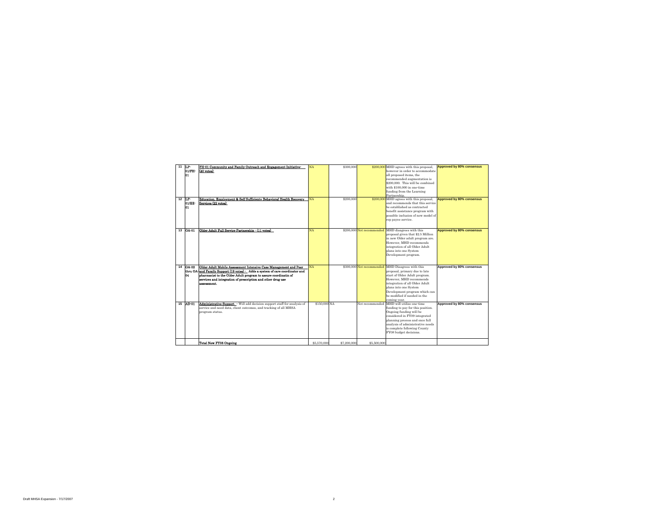| 11<br>12 | LP-<br>01/FH-<br>101<br>LP-<br>01/EE-<br>101 | FH-01 Community and Family Outreach and Engagement Initiative-<br>$(40 \text{ votes})$<br>Education, Employment & Self Sufficienty Behavioral Health Recovery<br>Services (22 votes)                                                                                                                                                                                                 | NA<br><b>NA</b>    | \$300,000<br>\$200,000 |                                              | \$200,000 MHD agrees with this proposal,<br>however in order to accommodate<br>all proposed items, the<br>recommended augmentation is<br>\$200,000. This will be combined<br>with \$100,000 in one-time<br>funding from the Learning<br>Partnership.<br>\$200,000 MHD agrees with this proposal,<br>and recommends that this service<br>be established as contracted<br>benefit assistance program with<br>possible inclusion of new model of<br>rep payee service. | Approved by 80% consensus<br><b>Approved by 80% consensus</b> |
|----------|----------------------------------------------|--------------------------------------------------------------------------------------------------------------------------------------------------------------------------------------------------------------------------------------------------------------------------------------------------------------------------------------------------------------------------------------|--------------------|------------------------|----------------------------------------------|---------------------------------------------------------------------------------------------------------------------------------------------------------------------------------------------------------------------------------------------------------------------------------------------------------------------------------------------------------------------------------------------------------------------------------------------------------------------|---------------------------------------------------------------|
| 13       | $ OA-01 $                                    | Older Adult Full Service Partnership - (11 votes)                                                                                                                                                                                                                                                                                                                                    | <b>NA</b>          |                        | \$200,000 Not recommended                    | MHD disagrees with this<br>proposal given that \$2.5 Million<br>in new Older adult program are.<br>However, MHD recommends<br>integration of all Older Adult<br>plans into one System<br>Development program.                                                                                                                                                                                                                                                       | <b>Approved by 80% consensus</b>                              |
| 14<br>15 | <b>OA-02</b><br>04<br>$AD-01$                | Older Adult Mobile Assessment Intensive Case Management and Peer<br>thru OA and Family Support (19 votes) - Adds a system of care coordinator and<br>pharmacist to the Older Adult program to assure coordinatin of<br>services and integration of prescription and other drug use<br>assessment.<br><b>Administrative Support</b> - Will add decision support staff for analysis of | NA<br>\$150,000 NA |                        | \$300,000 Not recommended<br>Not recommended | MHD Disagrees with this<br>proposal, primary due to late<br>start of Older Adult program.<br>However, MHD recommends<br>integration of all Older Adult<br>plans into one System<br>Development program which can<br>be modified if needed in the<br>coming year.<br>MHD will utilize one-time                                                                                                                                                                       | Approved by 80% consensus<br>Approved by 80% consensus        |
|          |                                              | service and need data, client outcomes, and tracking of all MHSA<br>program status.<br><b>Total New FY08 Ongoing</b>                                                                                                                                                                                                                                                                 | \$5,570,000        | \$7,200,000            | \$5,500,000                                  | funding to pay for this position.<br>Ongoing funding will be<br>considered in FY09 integrated<br>planning process and once full<br>analysis of administrative needs<br>is complete following County<br>FY08 budget decisions.                                                                                                                                                                                                                                       |                                                               |
|          |                                              |                                                                                                                                                                                                                                                                                                                                                                                      |                    |                        |                                              |                                                                                                                                                                                                                                                                                                                                                                                                                                                                     |                                                               |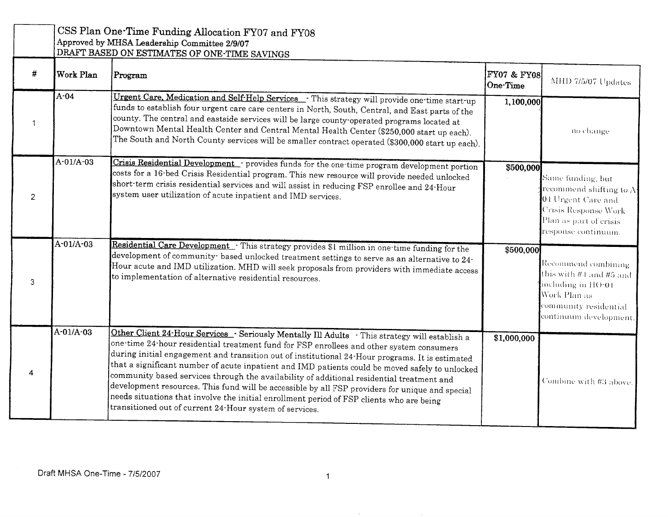|                |             | CSS Plan One-Time Funding Allocation FY07 and FY08<br>Approved by MHSA Leadership Committee 2/9/07<br>DRAFT BASED ON ESTIMATES OF ONE-TIME SAVINGS                                                                                                                                                                                                                                                                                                                                                                                                                                                                                                                                                                                                      |                         |                                                                                                                                              |
|----------------|-------------|---------------------------------------------------------------------------------------------------------------------------------------------------------------------------------------------------------------------------------------------------------------------------------------------------------------------------------------------------------------------------------------------------------------------------------------------------------------------------------------------------------------------------------------------------------------------------------------------------------------------------------------------------------------------------------------------------------------------------------------------------------|-------------------------|----------------------------------------------------------------------------------------------------------------------------------------------|
| #              | Work Plan   | Program                                                                                                                                                                                                                                                                                                                                                                                                                                                                                                                                                                                                                                                                                                                                                 | FY07 & FY08<br>One-Time | MHD 7/5/07 Updates                                                                                                                           |
| 1              | $A-04$      | Urgent Care, Medication and Self-Help Services - This strategy will provide one time start up<br>funds to establish four urgent care care centers in North, South, Central, and East parts of the<br>county. The central and eastside services will be large county operated programs located at<br>Downtown Mental Health Center and Central Mental Health Center (\$250,000 start up each).<br>The South and North County services will be smaller contract operated (\$300,000 start up each).                                                                                                                                                                                                                                                       | 1,100,000               | no change.                                                                                                                                   |
| $\overline{2}$ | A-01/A-03   | Crisis Residential Development - provides funds for the one-time program development portion<br>costs for a 16 bed Crisis Residential program. This new resource will provide needed unlocked<br>short term crisis residential services and will assist in reducing FSP enrollee and 24 Hour<br>system user utilization of acute inpatient and IMD services.                                                                                                                                                                                                                                                                                                                                                                                            | \$500,000               | Same funding, but<br>recommend shifting to A-<br>04 Urgent Care and<br>Crisis Response Work<br>Plan as part of crisis<br>response continuum. |
| 3              | $A-01/A-03$ | Residential Care Development - This strategy provides \$1 million in one time funding for the<br>development of community based unlocked treatment settings to serve as an alternative to 24-<br>Hour acute and IMD utilization. MHD will seek proposals from providers with immediate access<br>to implementation of alternative residential resources.                                                                                                                                                                                                                                                                                                                                                                                                | \$500,000               | Recommend combining<br>this with #4 and #5 and<br>including in HO-01<br>Work Plan as<br>community residential<br>continuum development.      |
| 4              | A-01/A-03   | Other Client 24-Hour Services - Seriously Mentally Ill Adults - This strategy will establish a<br>one-time 24-hour residential treatment fund for FSP enrollees and other system consumers<br>during initial engagement and transition out of institutional 24-Hour programs. It is estimated<br>that a significant number of acute inpatient and IMD patients could be moved safely to unlocked<br>community based services through the availability of additional residential treatment and<br>development resources. This fund will be accessible by all FSP providers for unique and special<br>needs situations that involve the initial enrollment period of FSP clients who are being<br>transitioned out of current 24 Hour system of services. | \$1,000,000             | Combine with #3 above.                                                                                                                       |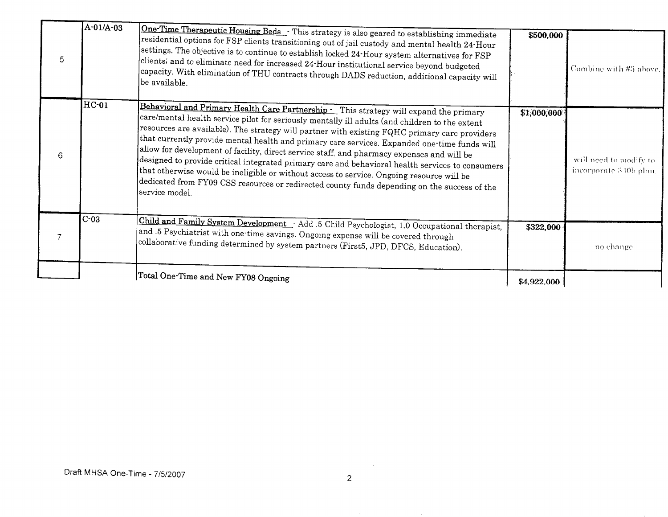| 5 | $A-01/A-03$ | One-Time Therapeutic Housing Beds . This strategy is also geared to establishing immediate<br>$ \mathop{\mathsf{residential}}$ options for FSP clients transitioning out of jail custody and mental health $24\text{-}\mathrm{Hour}$<br>$ \textrm{settings.}$ The objective is to continue to establish locked 24-Hour system alternatives for FSP<br>clients; and to eliminate need for increased 24 Hour institutional service beyond budgeted<br>capacity. With elimination of THU contracts through DADS reduction, additional capacity will<br>be available.                                                                                                                                                                                                                                                                                                   | \$500,000   | Combine with #3 above.                           |
|---|-------------|---------------------------------------------------------------------------------------------------------------------------------------------------------------------------------------------------------------------------------------------------------------------------------------------------------------------------------------------------------------------------------------------------------------------------------------------------------------------------------------------------------------------------------------------------------------------------------------------------------------------------------------------------------------------------------------------------------------------------------------------------------------------------------------------------------------------------------------------------------------------|-------------|--------------------------------------------------|
| 6 | $HC-01$     | Behavioral and Primary Health Care Partnership - This strategy will expand the primary<br>$ \texttt{\small care/mental}$ health service pilot for seriously mentally ill adults (and children to the extent<br>resources are available). The strategy will partner with existing FQHC primary care providers<br>$ \!\,\mathrm{that}$ currently provide mental health and primary care services. Expanded one time funds will<br>allow for development of facility, direct service staff, and pharmacy expenses and will be<br>designed to provide critical integrated primary care and behavioral health services to consumers<br>that otherwise would be ineligible or without access to service. Ongoing resource will be<br>$ \rm{dedicated\ from\ FY09\ CSS\ resources\ or\ redirected\ county\ funds\ depending\ on\ the\ success\ of\ the}$<br>service model. | \$1,000,000 | will need to modify to<br>incorporate 340b plan. |
|   | $C-03$      | Child and Family System Development · Add .5 Child Psychologist, 1.0 Occupational therapist,<br>and .5 Psychiatrist with one time savings. Ongoing expense will be covered through<br>collaborative funding determined by system partners (First5, JPD, DFCS, Education).                                                                                                                                                                                                                                                                                                                                                                                                                                                                                                                                                                                           | \$322,000   | no change                                        |
|   |             | Total One-Time and New FY08 Ongoing                                                                                                                                                                                                                                                                                                                                                                                                                                                                                                                                                                                                                                                                                                                                                                                                                                 | \$4,922,000 |                                                  |

 $\sim$   $\sim$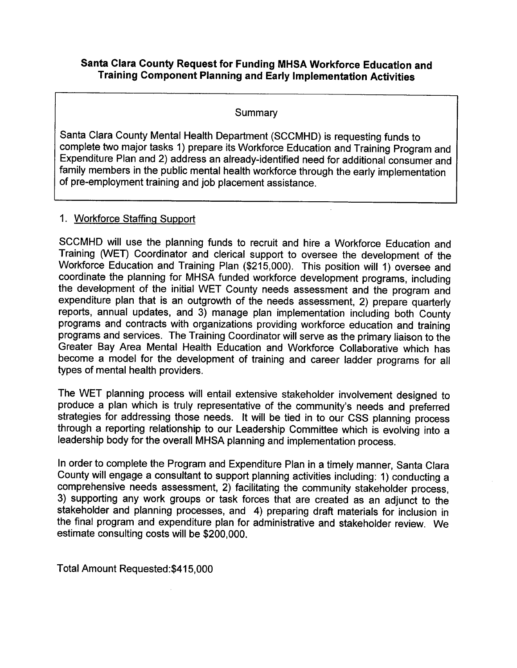## Santa Clara County Request for Funding MHSA Workforce Education and **Training Component Planning and Early Implementation Activities**

#### Summary

Santa Clara County Mental Health Department (SCCMHD) is requesting funds to complete two major tasks 1) prepare its Workforce Education and Training Program and Expenditure Plan and 2) address an already-identified need for additional consumer and family members in the public mental health workforce through the early implementation of pre-employment training and job placement assistance.

### 1. Workforce Staffing Support

SCCMHD will use the planning funds to recruit and hire a Workforce Education and Training (WET) Coordinator and clerical support to oversee the development of the Workforce Education and Training Plan (\$215,000). This position will 1) oversee and coordinate the planning for MHSA funded workforce development programs, including the development of the initial WET County needs assessment and the program and expenditure plan that is an outgrowth of the needs assessment, 2) prepare quarterly reports, annual updates, and 3) manage plan implementation including both County programs and contracts with organizations providing workforce education and training programs and services. The Training Coordinator will serve as the primary liaison to the Greater Bay Area Mental Health Education and Workforce Collaborative which has become a model for the development of training and career ladder programs for all types of mental health providers.

The WET planning process will entail extensive stakeholder involvement designed to produce a plan which is truly representative of the community's needs and preferred strategies for addressing those needs. It will be tied in to our CSS planning process through a reporting relationship to our Leadership Committee which is evolving into a leadership body for the overall MHSA planning and implementation process.

In order to complete the Program and Expenditure Plan in a timely manner, Santa Clara County will engage a consultant to support planning activities including: 1) conducting a comprehensive needs assessment, 2) facilitating the community stakeholder process, 3) supporting any work groups or task forces that are created as an adjunct to the stakeholder and planning processes, and 4) preparing draft materials for inclusion in the final program and expenditure plan for administrative and stakeholder review. We estimate consulting costs will be \$200,000.

Total Amount Requested: \$415,000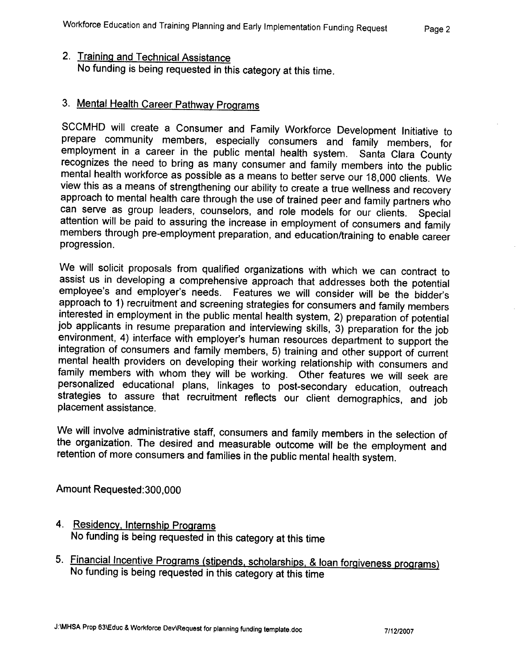# 2. Training and Technical Assistance No funding is being requested in this category at this time.

# 3. Mental Health Career Pathway Programs

SCCMHD will create a Consumer and Family Workforce Development Initiative to prepare community members, especially consumers and family members, for employment in a career in the public mental health system. Santa Clara County recognizes the need to bring as many consumer and family members into the public mental health workforce as possible as a means to better serve our 18,000 clients. We view this as a means of strengthening our ability to create a true wellness and recovery approach to mental health care through the use of trained peer and family partners who can serve as group leaders, counselors, and role models for our clients. Special attention will be paid to assuring the increase in employment of consumers and family members through pre-employment preparation, and education/training to enable career progression.

We will solicit proposals from qualified organizations with which we can contract to assist us in developing a comprehensive approach that addresses both the potential employee's and employer's needs. Features we will consider will be the bidder's approach to 1) recruitment and screening strategies for consumers and family members interested in employment in the public mental health system, 2) preparation of potential job applicants in resume preparation and interviewing skills, 3) preparation for the job environment, 4) interface with employer's human resources department to support the integration of consumers and family members, 5) training and other support of current mental health providers on developing their working relationship with consumers and family members with whom they will be working. Other features we will seek are personalized educational plans, linkages to post-secondary education, outreach strategies to assure that recruitment reflects our client demographics, and job placement assistance.

We will involve administrative staff, consumers and family members in the selection of the organization. The desired and measurable outcome will be the employment and retention of more consumers and families in the public mental health system.

Amount Requested: 300,000

- 4. Residency, Internship Programs No funding is being requested in this category at this time
- 5. Financial Incentive Programs (stipends, scholarships, & loan forgiveness programs) No funding is being requested in this category at this time